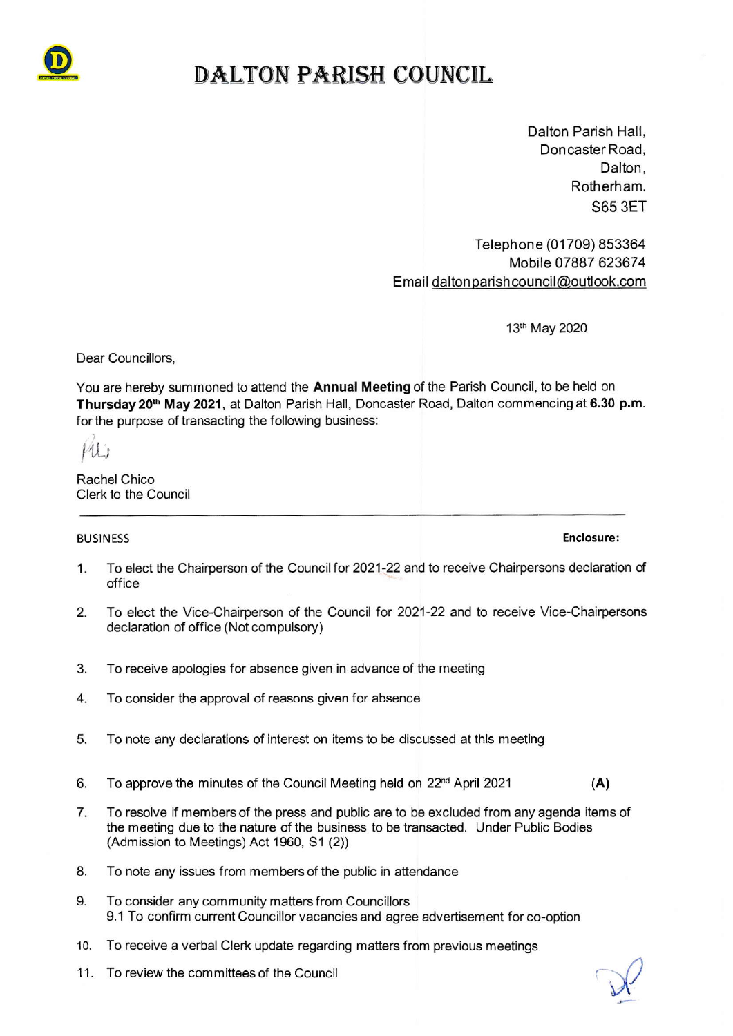

# DALTON PARISH COUNCIL

Dalton Parish Hall, Doncaster Road, Dalton, Rotherh am. 365 3ET

Telephone (01709) 853364 Mobile 07887 623674 Email dalton parish council@outlook.com

13th May 2020

Dear Councillors,

You are hereby summoned to attend the Annual Meeting of the Parish Council, to be held on Thursday 20<sup>th</sup> May 2021, at Dalton Parish Hall, Doncaster Road, Dalton commencing at 6.30 p.m. for the purpose of transacting the following business:

u,

Rachel Chico Clerk to the Council

#### BUSIN ESS Enclosure:

- 1. To elect the Chairperson of the Council for 2021-22 and to receive Chairpersons declaration of office
- 2. To elect the Vice-Chairperson of the Council for 2021-22 and to receive Vice-Chairpersons declaration of office (Not compulsory)
- To receive apologies for absence given in advance of the meeting 3.
- To consider the approval of reasons given for absence 4.
- 5. To note any declarations of interest on items to be discussed at this meeting
- 6. To approve the minutes of the Council Meeting held on  $22<sup>nd</sup>$  April 2021 (A)
- 7. To resolve if members of the press and public are to be excluded from any agenda items of the meeting due to the nature of the business to be transacted. Under Public Bodies (Admission to Meetings) Act 1960, S1 (2))
- 8. To note any issues from members of the public in attendance
- 9. To consider any community matters from Councillors 9. 1 To confirm current Councillor vacancies and agree advertisement for co-option
- 10. To receive a verbal Clerk update regarding matters from previous meetings<br>11. To review the committees of the Council  $\bigotimes$
- 11. To review the committees of the Council

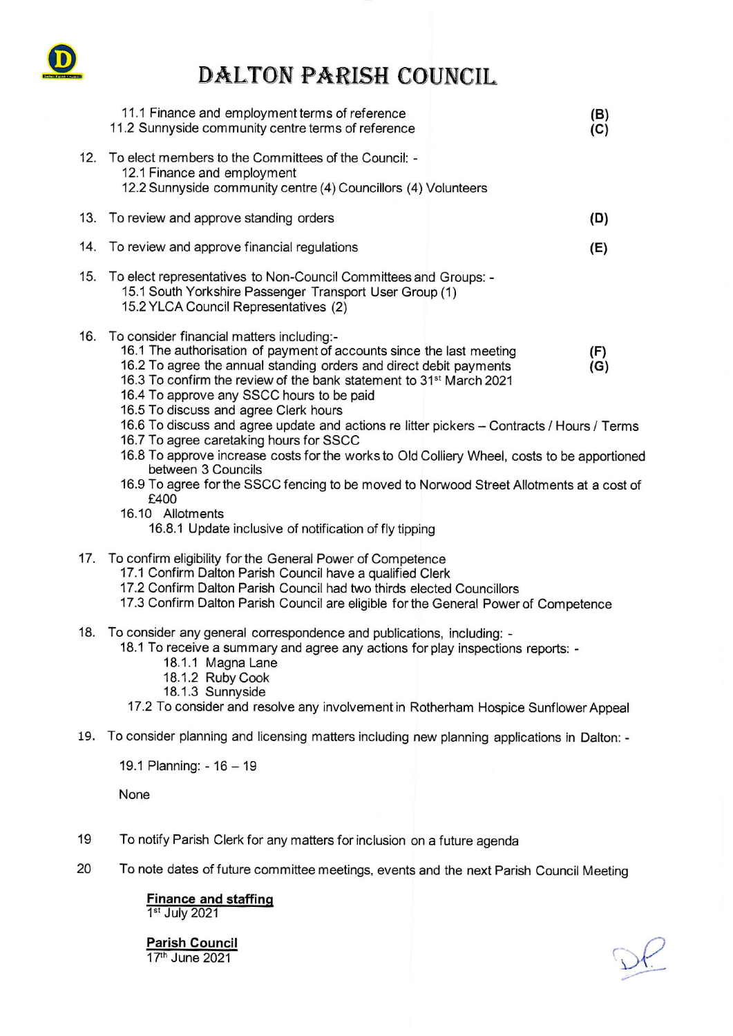

# DALTON PARISH COUNCIL

|     | 11.1 Finance and employment terms of reference<br>11.2 Sunnyside community centre terms of reference                                                                                                                                                                                                                                                                                                                                                                                                                                                                                                                                                                                                                                                                                                             | (B)<br>(C) |
|-----|------------------------------------------------------------------------------------------------------------------------------------------------------------------------------------------------------------------------------------------------------------------------------------------------------------------------------------------------------------------------------------------------------------------------------------------------------------------------------------------------------------------------------------------------------------------------------------------------------------------------------------------------------------------------------------------------------------------------------------------------------------------------------------------------------------------|------------|
| 12. | To elect members to the Committees of the Council: -<br>12.1 Finance and employment<br>12.2 Sunnyside community centre (4) Councillors (4) Volunteers                                                                                                                                                                                                                                                                                                                                                                                                                                                                                                                                                                                                                                                            |            |
| 13. | To review and approve standing orders                                                                                                                                                                                                                                                                                                                                                                                                                                                                                                                                                                                                                                                                                                                                                                            | (D)        |
| 14. | To review and approve financial regulations                                                                                                                                                                                                                                                                                                                                                                                                                                                                                                                                                                                                                                                                                                                                                                      | (E)        |
| 15. | To elect representatives to Non-Council Committees and Groups: -<br>15.1 South Yorkshire Passenger Transport User Group (1)<br>15.2 YLCA Council Representatives (2)                                                                                                                                                                                                                                                                                                                                                                                                                                                                                                                                                                                                                                             |            |
| 16. | To consider financial matters including:-<br>16.1 The authorisation of payment of accounts since the last meeting<br>16.2 To agree the annual standing orders and direct debit payments<br>16.3 To confirm the review of the bank statement to 31 <sup>st</sup> March 2021<br>16.4 To approve any SSCC hours to be paid<br>16.5 To discuss and agree Clerk hours<br>16.6 To discuss and agree update and actions re litter pickers - Contracts / Hours / Terms<br>16.7 To agree caretaking hours for SSCC<br>16.8 To approve increase costs for the works to Old Colliery Wheel, costs to be apportioned<br>between 3 Councils<br>16.9 To agree for the SSCC fencing to be moved to Norwood Street Allotments at a cost of<br>£400<br>16.10 Allotments<br>16.8.1 Update inclusive of notification of fly tipping | (F)<br>(G) |
| 17. | To confirm eligibility for the General Power of Competence<br>17.1 Confirm Dalton Parish Council have a qualified Clerk<br>17.2 Confirm Dalton Parish Council had two thirds elected Councillors<br>17.3 Confirm Dalton Parish Council are eligible for the General Power of Competence                                                                                                                                                                                                                                                                                                                                                                                                                                                                                                                          |            |
| 18. | To consider any general correspondence and publications, including: -<br>18.1 To receive a summary and agree any actions for play inspections reports: -<br>18.1.1 Magna Lane<br>18.1.2 Ruby Cook<br>18.1.3 Sunnyside<br>17.2 To consider and resolve any involvement in Rotherham Hospice Sunflower Appeal                                                                                                                                                                                                                                                                                                                                                                                                                                                                                                      |            |
| 19. | To consider planning and licensing matters including new planning applications in Dalton: -                                                                                                                                                                                                                                                                                                                                                                                                                                                                                                                                                                                                                                                                                                                      |            |

19.1 Planning: - 16 - 19

None

- To notify Parish Clerk for any matters for inclusion on a future agenda 19
- To note dates of future committee meetings, events and the next Parish Council Meeting 20

## Finance and staffing

1<sup>st</sup> July 2021

Parish Council<br>17<sup>th</sup> June 2021

 $Df$